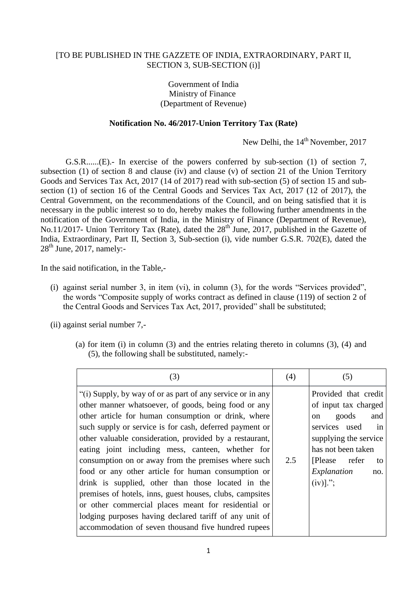## [TO BE PUBLISHED IN THE GAZZETE OF INDIA, EXTRAORDINARY, PART II, SECTION 3, SUB-SECTION (i)]

## Government of India Ministry of Finance (Department of Revenue)

## **Notification No. 46/2017-Union Territory Tax (Rate)**

New Delhi, the 14<sup>th</sup> November, 2017

G.S.R......(E).- In exercise of the powers conferred by sub-section (1) of section 7, subsection (1) of section 8 and clause (iv) and clause (v) of section 21 of the Union Territory Goods and Services Tax Act, 2017 (14 of 2017) read with sub-section (5) of section 15 and subsection (1) of section 16 of the Central Goods and Services Tax Act, 2017 (12 of 2017), the Central Government, on the recommendations of the Council, and on being satisfied that it is necessary in the public interest so to do, hereby makes the following further amendments in the notification of the Government of India, in the Ministry of Finance (Department of Revenue), No.11/2017- Union Territory Tax (Rate), dated the  $28<sup>th</sup>$  June, 2017, published in the Gazette of India, Extraordinary, Part II, Section 3, Sub-section (i), vide number G.S.R. 702(E), dated the  $28<sup>th</sup>$  June, 2017, namely:-

In the said notification, in the Table,-

(i) against serial number 3, in item (vi), in column (3), for the words "Services provided", the words "Composite supply of works contract as defined in clause (119) of section 2 of the Central Goods and Services Tax Act, 2017, provided" shall be substituted;

(ii) against serial number 7,-

(a) for item (i) in column (3) and the entries relating thereto in columns (3), (4) and (5), the following shall be substituted, namely:-

| (3)                                                                                                                                                                                                                                                                                                                                                                                                                                                                                                                                                                                                                                                                                                                                                         | (4) | (5)                                                                                                                                                                                                              |
|-------------------------------------------------------------------------------------------------------------------------------------------------------------------------------------------------------------------------------------------------------------------------------------------------------------------------------------------------------------------------------------------------------------------------------------------------------------------------------------------------------------------------------------------------------------------------------------------------------------------------------------------------------------------------------------------------------------------------------------------------------------|-----|------------------------------------------------------------------------------------------------------------------------------------------------------------------------------------------------------------------|
| "(i) Supply, by way of or as part of any service or in any<br>other manner whatsoever, of goods, being food or any<br>other article for human consumption or drink, where<br>such supply or service is for cash, deferred payment or<br>other valuable consideration, provided by a restaurant,<br>eating joint including mess, canteen, whether for<br>consumption on or away from the premises where such<br>food or any other article for human consumption or<br>drink is supplied, other than those located in the<br>premises of hotels, inns, guest houses, clubs, campsites<br>or other commercial places meant for residential or<br>lodging purposes having declared tariff of any unit of<br>accommodation of seven thousand five hundred rupees | 2.5 | Provided that credit<br>of input tax charged<br>goods<br>and<br><sub>on</sub><br>services used<br>in<br>supplying the service<br>has not been taken<br>[Please refer]<br>to<br>Explanation<br>no.<br>$(iv)$ ]."; |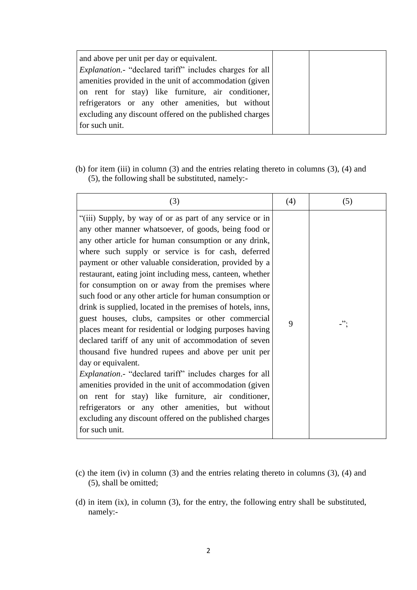| and above per unit per day or equivalent.                      |  |
|----------------------------------------------------------------|--|
| <i>Explanation.</i> "declared tariff" includes charges for all |  |
| amenities provided in the unit of accommodation (given)        |  |
| on rent for stay) like furniture, air conditioner,             |  |
| refrigerators or any other amenities, but without              |  |
| excluding any discount offered on the published charges        |  |
| for such unit.                                                 |  |
|                                                                |  |

(b) for item (iii) in column (3) and the entries relating thereto in columns (3), (4) and (5), the following shall be substituted, namely:-

| (3)                                                                                                                                                                                                                                                                                                                                                                                                                                                                                                                                                                                                                                                                                                                                                                                                                                                                                                                                                                                                                                                                                                                  | (4) | (5) |
|----------------------------------------------------------------------------------------------------------------------------------------------------------------------------------------------------------------------------------------------------------------------------------------------------------------------------------------------------------------------------------------------------------------------------------------------------------------------------------------------------------------------------------------------------------------------------------------------------------------------------------------------------------------------------------------------------------------------------------------------------------------------------------------------------------------------------------------------------------------------------------------------------------------------------------------------------------------------------------------------------------------------------------------------------------------------------------------------------------------------|-----|-----|
| "(iii) Supply, by way of or as part of any service or in<br>any other manner whatsoever, of goods, being food or<br>any other article for human consumption or any drink,<br>where such supply or service is for cash, deferred<br>payment or other valuable consideration, provided by a<br>restaurant, eating joint including mess, canteen, whether<br>for consumption on or away from the premises where<br>such food or any other article for human consumption or<br>drink is supplied, located in the premises of hotels, inns,<br>guest houses, clubs, campsites or other commercial<br>places meant for residential or lodging purposes having<br>declared tariff of any unit of accommodation of seven<br>thousand five hundred rupees and above per unit per<br>day or equivalent.<br><i>Explanation.</i> - "declared tariff" includes charges for all<br>amenities provided in the unit of accommodation (given)<br>on rent for stay) like furniture, air conditioner,<br>refrigerators or any other amenities, but without<br>excluding any discount offered on the published charges<br>for such unit. | 9   | -"; |

- (c) the item (iv) in column (3) and the entries relating thereto in columns (3), (4) and (5), shall be omitted;
- (d) in item (ix), in column (3), for the entry, the following entry shall be substituted, namely:-